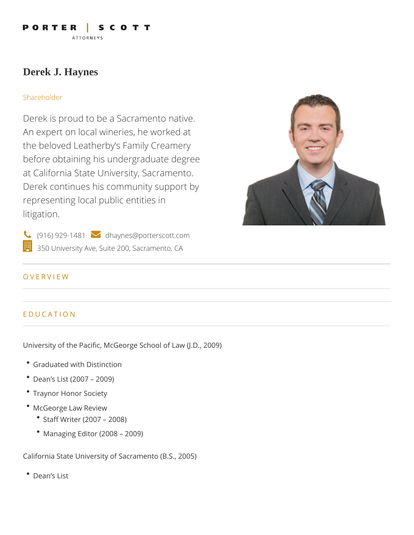PORTER SCOTT **ATTORNEYS** 

# **Derek J. Haynes**

#### Shareholder

Derek is proud to be a Sacramento native. An expert on local wineries, he worked at the beloved Leatherby's Family Creamery before obtaining his undergraduate degree at California State University, Sacramento. Derek continues his community support by representing local public entities in litigation.



 $\left\langle \right\rangle$  (916) 929-1481  $\left\langle \right\rangle$  dhaynes@porterscott.com 350 University Ave, Suite 200, Sacramento, CA

#### OVERVIEW

## EDUCATION

University of the Pacific, McGeorge School of Law (J.D., 2009)

- Graduated with Distinction
- Dean's List (2007 2009)
- Traynor Honor Society
- McGeorge Law Review
	- Staff Writer (2007 2008)
	- Managing Editor (2008 2009)

California State University of Sacramento (B.S., 2005)

Dean's List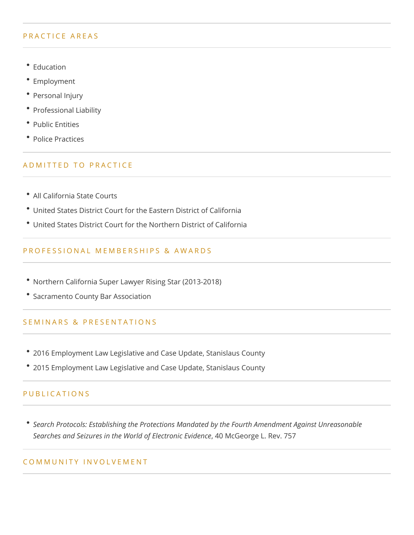#### PRACTICE AREAS

- Education
- Employment
- Personal Injury
- Professional Liability
- Public Entities
- Police Practices

## ADMITTED TO PRACTICE

- All California State Courts
- United States District Court for the Eastern District of California
- United States District Court for the Northern District of California

### PROFESSIONAL MEMBERSHIPS & AWARDS

- Northern California Super Lawyer Rising Star (2013-2018)
- Sacramento County Bar Association

#### SEMINARS & PRESENTATIONS

- 2016 Employment Law Legislative and Case Update, Stanislaus County
- 2015 Employment Law Legislative and Case Update, Stanislaus County

#### PUBLICATIONS

*Search Protocols: Establishing the Protections Mandated by the Fourth Amendment Against Unreasonable Searches and Seizures in the World of Electronic Evidence*, 40 McGeorge L. Rev. 757

#### COMMUNITY INVOLVEMENT